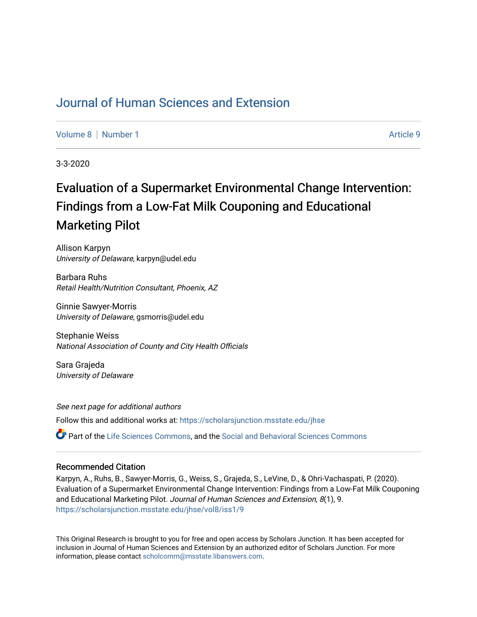# [Journal of Human Sciences and Extension](https://scholarsjunction.msstate.edu/jhse)

[Volume 8](https://scholarsjunction.msstate.edu/jhse/vol8) [Number 1](https://scholarsjunction.msstate.edu/jhse/vol8/iss1) Article 9

3-3-2020

# Evaluation of a Supermarket Environmental Change Intervention: Findings from a Low-Fat Milk Couponing and Educational Marketing Pilot

Allison Karpyn University of Delaware, karpyn@udel.edu

Barbara Ruhs Retail Health/Nutrition Consultant, Phoenix, AZ

Ginnie Sawyer-Morris University of Delaware, gsmorris@udel.edu

Stephanie Weiss National Association of County and City Health Officials

Sara Grajeda University of Delaware

See next page for additional authors Follow this and additional works at: [https://scholarsjunction.msstate.edu/jhse](https://scholarsjunction.msstate.edu/jhse?utm_source=scholarsjunction.msstate.edu%2Fjhse%2Fvol8%2Fiss1%2F9&utm_medium=PDF&utm_campaign=PDFCoverPages) Part of the [Life Sciences Commons,](http://network.bepress.com/hgg/discipline/1016?utm_source=scholarsjunction.msstate.edu%2Fjhse%2Fvol8%2Fiss1%2F9&utm_medium=PDF&utm_campaign=PDFCoverPages) and the [Social and Behavioral Sciences Commons](http://network.bepress.com/hgg/discipline/316?utm_source=scholarsjunction.msstate.edu%2Fjhse%2Fvol8%2Fiss1%2F9&utm_medium=PDF&utm_campaign=PDFCoverPages)

#### Recommended Citation

Karpyn, A., Ruhs, B., Sawyer-Morris, G., Weiss, S., Grajeda, S., LeVine, D., & Ohri-Vachaspati, P. (2020). Evaluation of a Supermarket Environmental Change Intervention: Findings from a Low-Fat Milk Couponing and Educational Marketing Pilot. Journal of Human Sciences and Extension, 8(1), 9. [https://scholarsjunction.msstate.edu/jhse/vol8/iss1/9](https://scholarsjunction.msstate.edu/jhse/vol8/iss1/9?utm_source=scholarsjunction.msstate.edu%2Fjhse%2Fvol8%2Fiss1%2F9&utm_medium=PDF&utm_campaign=PDFCoverPages)

This Original Research is brought to you for free and open access by Scholars Junction. It has been accepted for inclusion in Journal of Human Sciences and Extension by an authorized editor of Scholars Junction. For more information, please contact [scholcomm@msstate.libanswers.com](mailto:scholcomm@msstate.libanswers.com).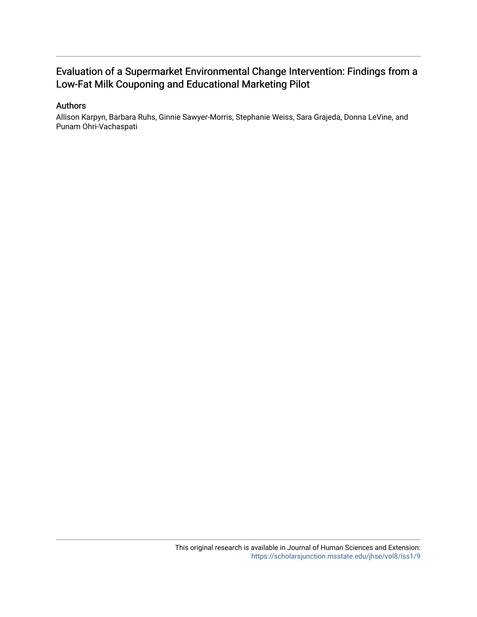# Evaluation of a Supermarket Environmental Change Intervention: Findings from a Low-Fat Milk Couponing and Educational Marketing Pilot

## Authors

Allison Karpyn, Barbara Ruhs, Ginnie Sawyer-Morris, Stephanie Weiss, Sara Grajeda, Donna LeVine, and Punam Ohri-Vachaspati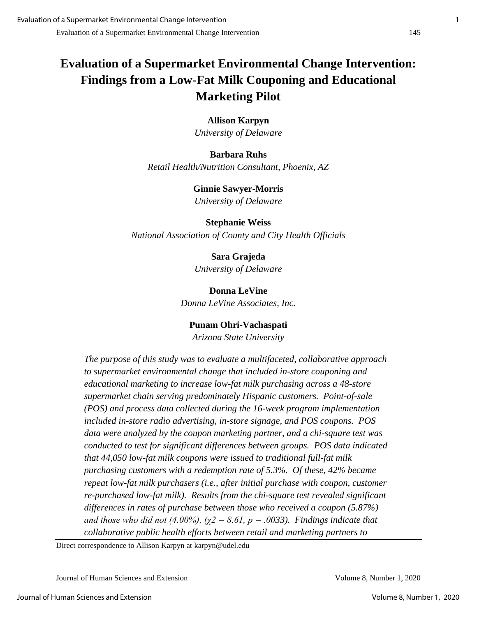# **Evaluation of a Supermarket Environmental Change Intervention: Findings from a Low-Fat Milk Couponing and Educational Marketing Pilot**

**Allison Karpyn** *University of Delaware*

**Barbara Ruhs** *Retail Health/Nutrition Consultant, Phoenix, AZ*

> **Ginnie Sawyer-Morris** *University of Delaware*

**Stephanie Weiss** *National Association of County and City Health Officials*

> **Sara Grajeda** *University of Delaware*

**Donna LeVine** *Donna LeVine Associates, Inc.*

**Punam Ohri-Vachaspati**

*Arizona State University*

*The purpose of this study was to evaluate a multifaceted, collaborative approach to supermarket environmental change that included in-store couponing and educational marketing to increase low-fat milk purchasing across a 48-store supermarket chain serving predominately Hispanic customers. Point-of-sale (POS) and process data collected during the 16-week program implementation included in-store radio advertising, in-store signage, and POS coupons. POS data were analyzed by the coupon marketing partner, and a chi-square test was conducted to test for significant differences between groups. POS data indicated that 44,050 low-fat milk coupons were issued to traditional full-fat milk purchasing customers with a redemption rate of 5.3%. Of these, 42% became repeat low-fat milk purchasers (i.e., after initial purchase with coupon, customer re-purchased low-fat milk). Results from the chi-square test revealed significant differences in rates of purchase between those who received a coupon (5.87%) and those who did not (4.00%), (* $\chi$ *2 = 8.61, p = .0033). Findings indicate that collaborative public health efforts between retail and marketing partners to*

Direct correspondence to Allison Karpyn at karpyn@udel.edu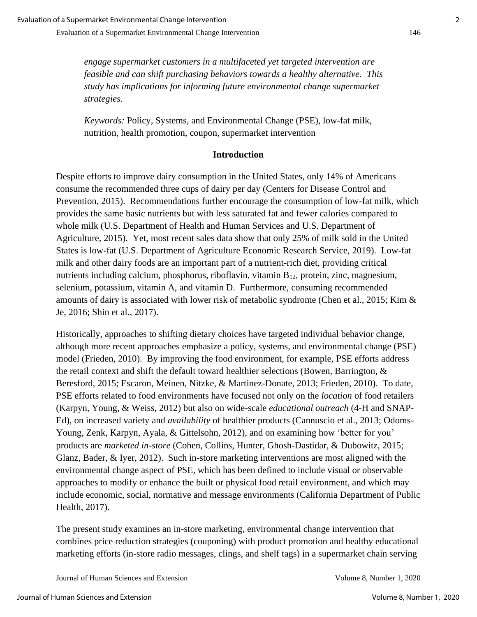*engage supermarket customers in a multifaceted yet targeted intervention are feasible and can shift purchasing behaviors towards a healthy alternative. This study has implications for informing future environmental change supermarket strategies.* 

*Keywords:* Policy, Systems, and Environmental Change (PSE), low-fat milk, nutrition, health promotion, coupon, supermarket intervention

# **Introduction**

Despite efforts to improve dairy consumption in the United States, only 14% of Americans consume the recommended three cups of dairy per day (Centers for Disease Control and Prevention, 2015). Recommendations further encourage the consumption of low-fat milk, which provides the same basic nutrients but with less saturated fat and fewer calories compared to whole milk (U.S. Department of Health and Human Services and U.S. Department of Agriculture, 2015). Yet, most recent sales data show that only 25% of milk sold in the United States is low-fat (U.S. Department of Agriculture Economic Research Service, 2019). Low-fat milk and other dairy foods are an important part of a nutrient-rich diet, providing critical nutrients including calcium, phosphorus, riboflavin, vitamin B<sub>12</sub>, protein, zinc, magnesium, selenium, potassium, vitamin A, and vitamin D. Furthermore, consuming recommended amounts of dairy is associated with lower risk of metabolic syndrome (Chen et al., 2015; Kim & Je, 2016; Shin et al., 2017).

Historically, approaches to shifting dietary choices have targeted individual behavior change, although more recent approaches emphasize a policy, systems, and environmental change (PSE) model (Frieden, 2010). By improving the food environment, for example, PSE efforts address the retail context and shift the default toward healthier selections (Bowen, Barrington, & Beresford, 2015; Escaron, Meinen, Nitzke, & Martinez-Donate, 2013; Frieden, 2010). To date, PSE efforts related to food environments have focused not only on the *location* of food retailers (Karpyn, Young, & Weiss, 2012) but also on wide-scale *educational outreach* (4-H and SNAP-Ed), on increased variety and *availability* of healthier products (Cannuscio et al., 2013; Odoms-Young, Zenk, Karpyn, Ayala, & Gittelsohn, 2012), and on examining how 'better for you' products are *marketed in-store* (Cohen, Collins, Hunter, Ghosh-Dastidar, & Dubowitz, 2015; Glanz, Bader, & Iyer, 2012). Such in-store marketing interventions are most aligned with the environmental change aspect of PSE, which has been defined to include visual or observable approaches to modify or enhance the built or physical food retail environment, and which may include economic, social, normative and message environments (California Department of Public Health, 2017).

The present study examines an in-store marketing, environmental change intervention that combines price reduction strategies (couponing) with product promotion and healthy educational marketing efforts (in-store radio messages, clings, and shelf tags) in a supermarket chain serving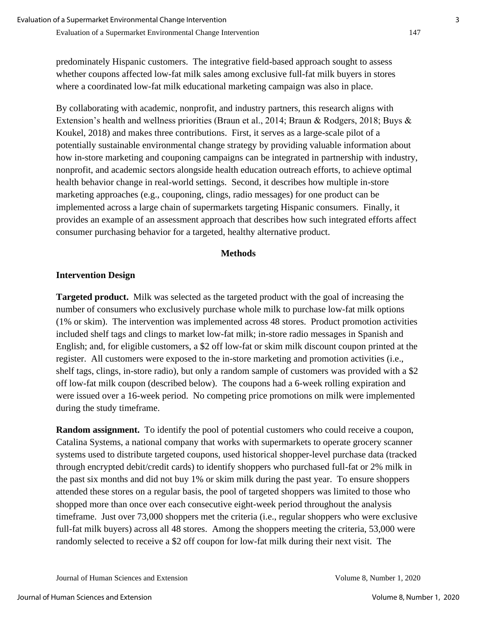predominately Hispanic customers. The integrative field-based approach sought to assess whether coupons affected low-fat milk sales among exclusive full-fat milk buyers in stores where a coordinated low-fat milk educational marketing campaign was also in place.

By collaborating with academic, nonprofit, and industry partners, this research aligns with Extension's health and wellness priorities (Braun et al., 2014; Braun & Rodgers, 2018; Buys & Koukel, 2018) and makes three contributions. First, it serves as a large-scale pilot of a potentially sustainable environmental change strategy by providing valuable information about how in-store marketing and couponing campaigns can be integrated in partnership with industry, nonprofit, and academic sectors alongside health education outreach efforts, to achieve optimal health behavior change in real-world settings. Second, it describes how multiple in-store marketing approaches (e.g., couponing, clings, radio messages) for one product can be implemented across a large chain of supermarkets targeting Hispanic consumers. Finally, it provides an example of an assessment approach that describes how such integrated efforts affect consumer purchasing behavior for a targeted, healthy alternative product.

## **Methods**

## **Intervention Design**

**Targeted product.** Milk was selected as the targeted product with the goal of increasing the number of consumers who exclusively purchase whole milk to purchase low-fat milk options (1% or skim). The intervention was implemented across 48 stores. Product promotion activities included shelf tags and clings to market low-fat milk; in-store radio messages in Spanish and English; and, for eligible customers, a \$2 off low-fat or skim milk discount coupon printed at the register. All customers were exposed to the in-store marketing and promotion activities (i.e., shelf tags, clings, in-store radio), but only a random sample of customers was provided with a \$2 off low-fat milk coupon (described below). The coupons had a 6-week rolling expiration and were issued over a 16-week period. No competing price promotions on milk were implemented during the study timeframe.

**Random assignment.** To identify the pool of potential customers who could receive a coupon, Catalina Systems, a national company that works with supermarkets to operate grocery scanner systems used to distribute targeted coupons, used historical shopper-level purchase data (tracked through encrypted debit/credit cards) to identify shoppers who purchased full-fat or 2% milk in the past six months and did not buy 1% or skim milk during the past year. To ensure shoppers attended these stores on a regular basis, the pool of targeted shoppers was limited to those who shopped more than once over each consecutive eight-week period throughout the analysis timeframe. Just over 73,000 shoppers met the criteria (i.e., regular shoppers who were exclusive full-fat milk buyers) across all 48 stores. Among the shoppers meeting the criteria, 53,000 were randomly selected to receive a \$2 off coupon for low-fat milk during their next visit. The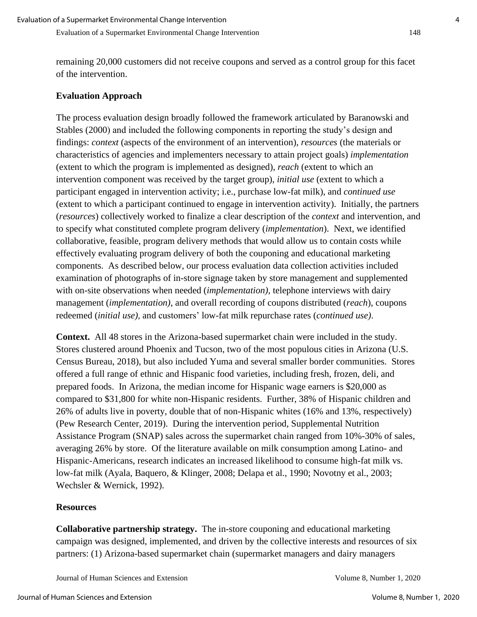remaining 20,000 customers did not receive coupons and served as a control group for this facet of the intervention.

#### **Evaluation Approach**

The process evaluation design broadly followed the framework articulated by Baranowski and Stables (2000) and included the following components in reporting the study's design and findings: *context* (aspects of the environment of an intervention), *resources* (the materials or characteristics of agencies and implementers necessary to attain project goals) *implementation* (extent to which the program is implemented as designed), *reach* (extent to which an intervention component was received by the target group), *initial use* (extent to which a participant engaged in intervention activity; i.e., purchase low-fat milk), and *continued use* (extent to which a participant continued to engage in intervention activity). Initially, the partners (*resources*) collectively worked to finalize a clear description of the *context* and intervention, and to specify what constituted complete program delivery (*implementation*). Next, we identified collaborative, feasible, program delivery methods that would allow us to contain costs while effectively evaluating program delivery of both the couponing and educational marketing components. As described below, our process evaluation data collection activities included examination of photographs of in-store signage taken by store management and supplemented with on-site observations when needed (*implementation)*, telephone interviews with dairy management (*implementation)*, and overall recording of coupons distributed (*reach*), coupons redeemed (*initial use)*, and customers' low-fat milk repurchase rates (*continued use)*.

**Context.** All 48 stores in the Arizona-based supermarket chain were included in the study. Stores clustered around Phoenix and Tucson, two of the most populous cities in Arizona (U.S. Census Bureau, 2018), but also included Yuma and several smaller border communities. Stores offered a full range of ethnic and Hispanic food varieties, including fresh, frozen, deli, and prepared foods. In Arizona, the median income for Hispanic wage earners is \$20,000 as compared to \$31,800 for white non-Hispanic residents. Further, 38% of Hispanic children and 26% of adults live in poverty, double that of non-Hispanic whites (16% and 13%, respectively) (Pew Research Center, 2019). During the intervention period, Supplemental Nutrition Assistance Program (SNAP) sales across the supermarket chain ranged from 10%-30% of sales, averaging 26% by store. Of the literature available on milk consumption among Latino- and Hispanic-Americans, research indicates an increased likelihood to consume high-fat milk vs. low-fat milk (Ayala, Baquero, & Klinger, 2008; Delapa et al., 1990; Novotny et al., 2003; Wechsler & Wernick, 1992).

#### **Resources**

**Collaborative partnership strategy.** The in-store couponing and educational marketing campaign was designed, implemented, and driven by the collective interests and resources of six partners: (1) Arizona-based supermarket chain (supermarket managers and dairy managers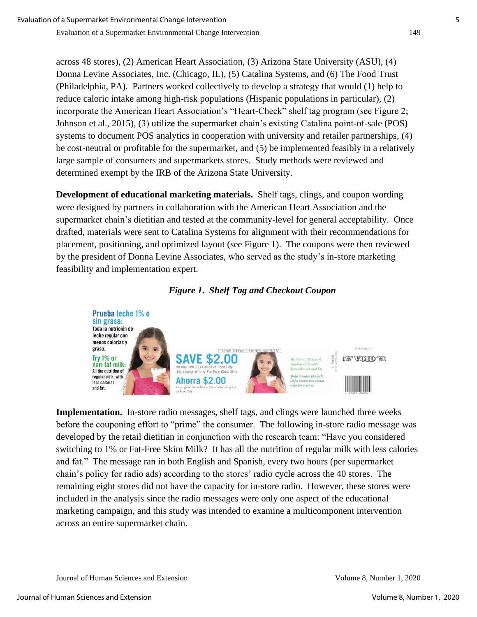across 48 stores), (2) American Heart Association, (3) Arizona State University (ASU), (4) Donna Levine Associates, Inc. (Chicago, IL), (5) Catalina Systems, and (6) The Food Trust (Philadelphia, PA). Partners worked collectively to develop a strategy that would (1) help to reduce caloric intake among high-risk populations (Hispanic populations in particular), (2) incorporate the American Heart Association's "Heart-Check" shelf tag program (see Figure 2; Johnson et al., 2015), (3) utilize the supermarket chain's existing Catalina point-of-sale (POS) systems to document POS analytics in cooperation with university and retailer partnerships, (4) be cost-neutral or profitable for the supermarket, and (5) be implemented feasibly in a relatively large sample of consumers and supermarkets stores. Study methods were reviewed and determined exempt by the IRB of the Arizona State University.

**Development of educational marketing materials.** Shelf tags, clings, and coupon wording were designed by partners in collaboration with the American Heart Association and the supermarket chain's dietitian and tested at the community-level for general acceptability. Once drafted, materials were sent to Catalina Systems for alignment with their recommendations for placement, positioning, and optimized layout (see Figure 1). The coupons were then reviewed by the president of Donna Levine Associates, who served as the study's in-store marketing feasibility and implementation expert.

# *Figure 1***.** *Shelf Tag and Checkout Coupon*



**Implementation.** In-store radio messages, shelf tags, and clings were launched three weeks before the couponing effort to "prime" the consumer. The following in-store radio message was developed by the retail dietitian in conjunction with the research team: "Have you considered switching to 1% or Fat-Free Skim Milk? It has all the nutrition of regular milk with less calories and fat." The message ran in both English and Spanish, every two hours (per supermarket chain's policy for radio ads) according to the stores' radio cycle across the 40 stores. The remaining eight stores did not have the capacity for in-store radio. However, these stores were included in the analysis since the radio messages were only one aspect of the educational marketing campaign, and this study was intended to examine a multicomponent intervention across an entire supermarket chain.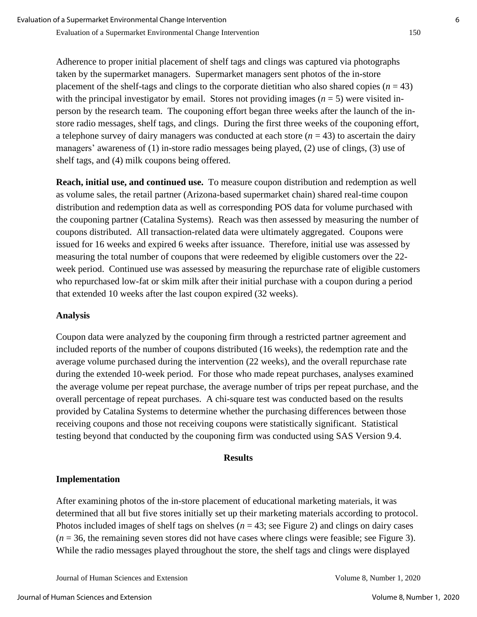Adherence to proper initial placement of shelf tags and clings was captured via photographs taken by the supermarket managers. Supermarket managers sent photos of the in-store placement of the shelf-tags and clings to the corporate dietitian who also shared copies  $(n = 43)$ with the principal investigator by email. Stores not providing images  $(n = 5)$  were visited inperson by the research team. The couponing effort began three weeks after the launch of the instore radio messages, shelf tags, and clings. During the first three weeks of the couponing effort, a telephone survey of dairy managers was conducted at each store  $(n = 43)$  to ascertain the dairy managers' awareness of (1) in-store radio messages being played, (2) use of clings, (3) use of shelf tags, and (4) milk coupons being offered.

**Reach, initial use, and continued use.** To measure coupon distribution and redemption as well as volume sales, the retail partner (Arizona-based supermarket chain) shared real-time coupon distribution and redemption data as well as corresponding POS data for volume purchased with the couponing partner (Catalina Systems). Reach was then assessed by measuring the number of coupons distributed. All transaction-related data were ultimately aggregated. Coupons were issued for 16 weeks and expired 6 weeks after issuance. Therefore, initial use was assessed by measuring the total number of coupons that were redeemed by eligible customers over the 22 week period. Continued use was assessed by measuring the repurchase rate of eligible customers who repurchased low-fat or skim milk after their initial purchase with a coupon during a period that extended 10 weeks after the last coupon expired (32 weeks).

## **Analysis**

Coupon data were analyzed by the couponing firm through a restricted partner agreement and included reports of the number of coupons distributed (16 weeks), the redemption rate and the average volume purchased during the intervention (22 weeks), and the overall repurchase rate during the extended 10-week period. For those who made repeat purchases, analyses examined the average volume per repeat purchase, the average number of trips per repeat purchase, and the overall percentage of repeat purchases. A chi-square test was conducted based on the results provided by Catalina Systems to determine whether the purchasing differences between those receiving coupons and those not receiving coupons were statistically significant. Statistical testing beyond that conducted by the couponing firm was conducted using SAS Version 9.4.

#### **Results**

## **Implementation**

After examining photos of the in-store placement of educational marketing materials, it was determined that all but five stores initially set up their marketing materials according to protocol. Photos included images of shelf tags on shelves ( $n = 43$ ; see Figure 2) and clings on dairy cases  $(n = 36$ , the remaining seven stores did not have cases where clings were feasible; see Figure 3). While the radio messages played throughout the store, the shelf tags and clings were displayed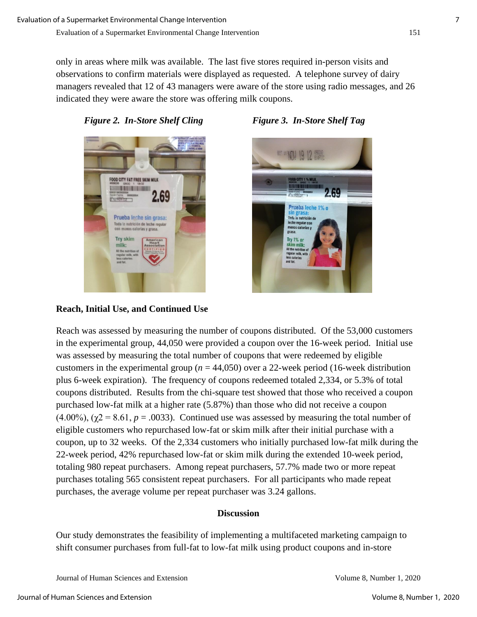only in areas where milk was available. The last five stores required in-person visits and observations to confirm materials were displayed as requested. A telephone survey of dairy managers revealed that 12 of 43 managers were aware of the store using radio messages, and 26 indicated they were aware the store was offering milk coupons.





**Reach, Initial Use, and Continued Use**





Reach was assessed by measuring the number of coupons distributed. Of the 53,000 customers in the experimental group, 44,050 were provided a coupon over the 16-week period. Initial use was assessed by measuring the total number of coupons that were redeemed by eligible customers in the experimental group ( $n = 44,050$ ) over a 22-week period (16-week distribution plus 6-week expiration). The frequency of coupons redeemed totaled 2,334, or 5.3% of total coupons distributed. Results from the chi-square test showed that those who received a coupon purchased low-fat milk at a higher rate (5.87%) than those who did not receive a coupon  $(4.00\%)$ ,  $(\gamma^2 = 8.61, p = .0033)$ . Continued use was assessed by measuring the total number of eligible customers who repurchased low-fat or skim milk after their initial purchase with a coupon, up to 32 weeks. Of the 2,334 customers who initially purchased low-fat milk during the 22-week period, 42% repurchased low-fat or skim milk during the extended 10-week period, totaling 980 repeat purchasers. Among repeat purchasers, 57.7% made two or more repeat purchases totaling 565 consistent repeat purchasers. For all participants who made repeat purchases, the average volume per repeat purchaser was 3.24 gallons.

# **Discussion**

Our study demonstrates the feasibility of implementing a multifaceted marketing campaign to shift consumer purchases from full-fat to low-fat milk using product coupons and in-store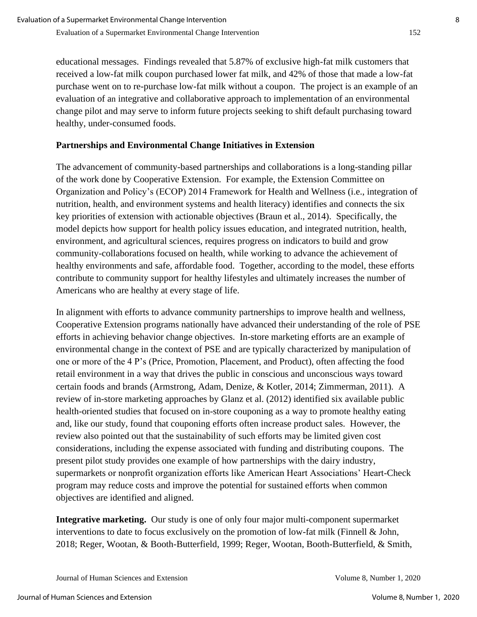educational messages. Findings revealed that 5.87% of exclusive high-fat milk customers that received a low-fat milk coupon purchased lower fat milk, and 42% of those that made a low-fat purchase went on to re-purchase low-fat milk without a coupon. The project is an example of an evaluation of an integrative and collaborative approach to implementation of an environmental change pilot and may serve to inform future projects seeking to shift default purchasing toward healthy, under-consumed foods.

# **Partnerships and Environmental Change Initiatives in Extension**

The advancement of community-based partnerships and collaborations is a long-standing pillar of the work done by Cooperative Extension. For example, the Extension Committee on Organization and Policy's (ECOP) 2014 Framework for Health and Wellness (i.e., integration of nutrition, health, and environment systems and health literacy) identifies and connects the six key priorities of extension with actionable objectives (Braun et al., 2014). Specifically, the model depicts how support for health policy issues education, and integrated nutrition, health, environment, and agricultural sciences, requires progress on indicators to build and grow community-collaborations focused on health, while working to advance the achievement of healthy environments and safe, affordable food. Together, according to the model, these efforts contribute to community support for healthy lifestyles and ultimately increases the number of Americans who are healthy at every stage of life.

In alignment with efforts to advance community partnerships to improve health and wellness, Cooperative Extension programs nationally have advanced their understanding of the role of PSE efforts in achieving behavior change objectives. In-store marketing efforts are an example of environmental change in the context of PSE and are typically characterized by manipulation of one or more of the 4 P's (Price, Promotion, Placement, and Product), often affecting the food retail environment in a way that drives the public in conscious and unconscious ways toward certain foods and brands (Armstrong, Adam, Denize, & Kotler, 2014; Zimmerman, 2011). A review of in-store marketing approaches by Glanz et al. (2012) identified six available public health-oriented studies that focused on in-store couponing as a way to promote healthy eating and, like our study, found that couponing efforts often increase product sales. However, the review also pointed out that the sustainability of such efforts may be limited given cost considerations, including the expense associated with funding and distributing coupons. The present pilot study provides one example of how partnerships with the dairy industry, supermarkets or nonprofit organization efforts like American Heart Associations' Heart-Check program may reduce costs and improve the potential for sustained efforts when common objectives are identified and aligned.

**Integrative marketing.** Our study is one of only four major multi-component supermarket interventions to date to focus exclusively on the promotion of low-fat milk (Finnell & John, 2018; Reger, Wootan, & Booth-Butterfield, 1999; Reger, Wootan, Booth-Butterfield, & Smith,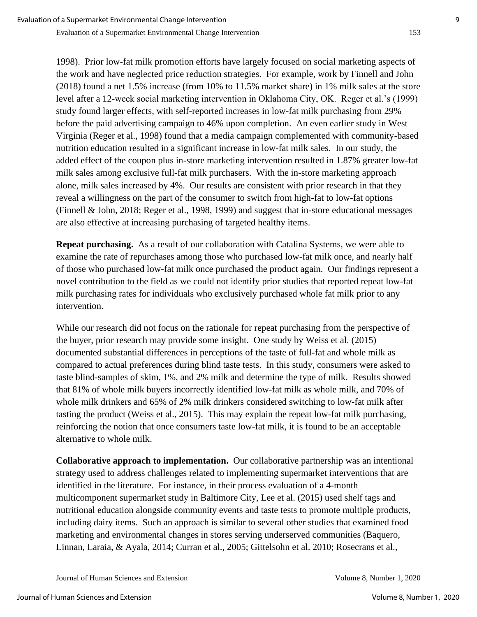1998). Prior low-fat milk promotion efforts have largely focused on social marketing aspects of the work and have neglected price reduction strategies. For example, work by Finnell and John (2018) found a net 1.5% increase (from 10% to 11.5% market share) in 1% milk sales at the store level after a 12-week social marketing intervention in Oklahoma City, OK. Reger et al.'s (1999) study found larger effects, with self-reported increases in low-fat milk purchasing from 29% before the paid advertising campaign to 46% upon completion. An even earlier study in West Virginia (Reger et al., 1998) found that a media campaign complemented with community-based nutrition education resulted in a significant increase in low-fat milk sales. In our study, the added effect of the coupon plus in-store marketing intervention resulted in 1.87% greater low-fat milk sales among exclusive full-fat milk purchasers. With the in-store marketing approach alone, milk sales increased by 4%. Our results are consistent with prior research in that they reveal a willingness on the part of the consumer to switch from high-fat to low-fat options (Finnell & John, 2018; Reger et al., 1998, 1999) and suggest that in-store educational messages are also effective at increasing purchasing of targeted healthy items.

**Repeat purchasing.** As a result of our collaboration with Catalina Systems, we were able to examine the rate of repurchases among those who purchased low-fat milk once, and nearly half of those who purchased low-fat milk once purchased the product again. Our findings represent a novel contribution to the field as we could not identify prior studies that reported repeat low-fat milk purchasing rates for individuals who exclusively purchased whole fat milk prior to any intervention.

While our research did not focus on the rationale for repeat purchasing from the perspective of the buyer, prior research may provide some insight. One study by Weiss et al. (2015) documented substantial differences in perceptions of the taste of full-fat and whole milk as compared to actual preferences during blind taste tests. In this study, consumers were asked to taste blind-samples of skim, 1%, and 2% milk and determine the type of milk. Results showed that 81% of whole milk buyers incorrectly identified low-fat milk as whole milk, and 70% of whole milk drinkers and 65% of 2% milk drinkers considered switching to low-fat milk after tasting the product (Weiss et al., 2015). This may explain the repeat low-fat milk purchasing, reinforcing the notion that once consumers taste low-fat milk, it is found to be an acceptable alternative to whole milk.

**Collaborative approach to implementation.** Our collaborative partnership was an intentional strategy used to address challenges related to implementing supermarket interventions that are identified in the literature. For instance, in their process evaluation of a 4-month multicomponent supermarket study in Baltimore City, Lee et al. (2015) used shelf tags and nutritional education alongside community events and taste tests to promote multiple products, including dairy items. Such an approach is similar to several other studies that examined food marketing and environmental changes in stores serving underserved communities (Baquero, Linnan, Laraia, & Ayala, 2014; Curran et al., 2005; Gittelsohn et al. 2010; Rosecrans et al.,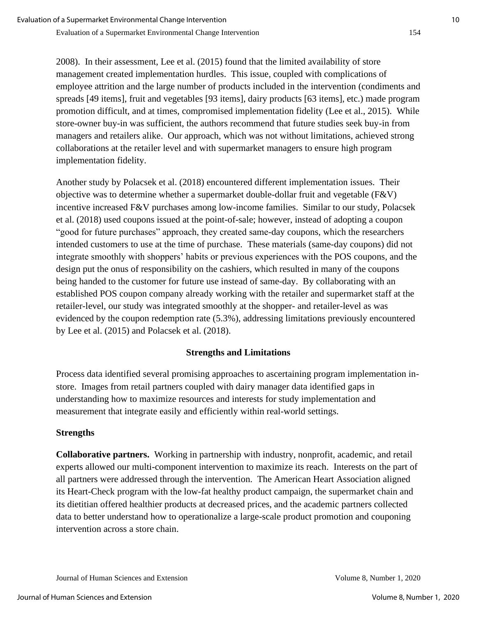2008). In their assessment, Lee et al. (2015) found that the limited availability of store management created implementation hurdles. This issue, coupled with complications of employee attrition and the large number of products included in the intervention (condiments and spreads [49 items], fruit and vegetables [93 items], dairy products [63 items], etc.) made program promotion difficult, and at times, compromised implementation fidelity (Lee et al., 2015). While store-owner buy-in was sufficient, the authors recommend that future studies seek buy-in from managers and retailers alike. Our approach, which was not without limitations, achieved strong collaborations at the retailer level and with supermarket managers to ensure high program implementation fidelity.

Another study by Polacsek et al. (2018) encountered different implementation issues. Their objective was to determine whether a supermarket double-dollar fruit and vegetable (F&V) incentive increased F&V purchases among low-income families. Similar to our study, Polacsek et al. (2018) used coupons issued at the point-of-sale; however, instead of adopting a coupon "good for future purchases" approach, they created same-day coupons, which the researchers intended customers to use at the time of purchase. These materials (same-day coupons) did not integrate smoothly with shoppers' habits or previous experiences with the POS coupons, and the design put the onus of responsibility on the cashiers, which resulted in many of the coupons being handed to the customer for future use instead of same-day. By collaborating with an established POS coupon company already working with the retailer and supermarket staff at the retailer-level, our study was integrated smoothly at the shopper- and retailer-level as was evidenced by the coupon redemption rate (5.3%), addressing limitations previously encountered by Lee et al. (2015) and Polacsek et al. (2018).

## **Strengths and Limitations**

Process data identified several promising approaches to ascertaining program implementation instore. Images from retail partners coupled with dairy manager data identified gaps in understanding how to maximize resources and interests for study implementation and measurement that integrate easily and efficiently within real-world settings.

# **Strengths**

**Collaborative partners.** Working in partnership with industry, nonprofit, academic, and retail experts allowed our multi-component intervention to maximize its reach. Interests on the part of all partners were addressed through the intervention. The American Heart Association aligned its Heart-Check program with the low-fat healthy product campaign, the supermarket chain and its dietitian offered healthier products at decreased prices, and the academic partners collected data to better understand how to operationalize a large-scale product promotion and couponing intervention across a store chain.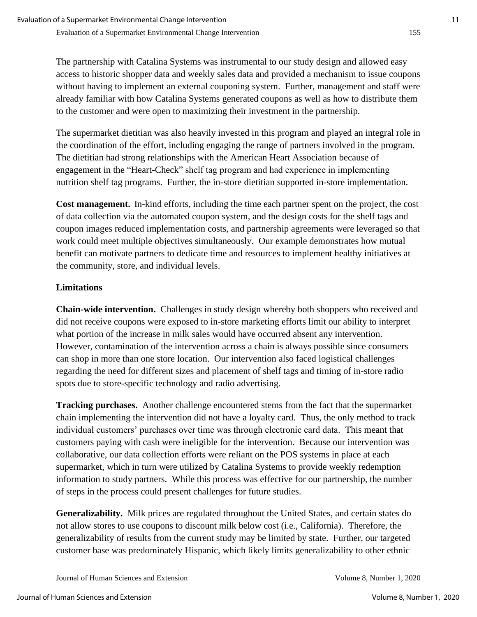The partnership with Catalina Systems was instrumental to our study design and allowed easy access to historic shopper data and weekly sales data and provided a mechanism to issue coupons without having to implement an external couponing system. Further, management and staff were already familiar with how Catalina Systems generated coupons as well as how to distribute them to the customer and were open to maximizing their investment in the partnership.

The supermarket dietitian was also heavily invested in this program and played an integral role in the coordination of the effort, including engaging the range of partners involved in the program. The dietitian had strong relationships with the American Heart Association because of engagement in the "Heart-Check" shelf tag program and had experience in implementing nutrition shelf tag programs. Further, the in-store dietitian supported in-store implementation.

**Cost management.** In-kind efforts, including the time each partner spent on the project, the cost of data collection via the automated coupon system, and the design costs for the shelf tags and coupon images reduced implementation costs, and partnership agreements were leveraged so that work could meet multiple objectives simultaneously. Our example demonstrates how mutual benefit can motivate partners to dedicate time and resources to implement healthy initiatives at the community, store, and individual levels.

# **Limitations**

**Chain-wide intervention.** Challenges in study design whereby both shoppers who received and did not receive coupons were exposed to in-store marketing efforts limit our ability to interpret what portion of the increase in milk sales would have occurred absent any intervention. However, contamination of the intervention across a chain is always possible since consumers can shop in more than one store location. Our intervention also faced logistical challenges regarding the need for different sizes and placement of shelf tags and timing of in-store radio spots due to store-specific technology and radio advertising.

**Tracking purchases.** Another challenge encountered stems from the fact that the supermarket chain implementing the intervention did not have a loyalty card. Thus, the only method to track individual customers' purchases over time was through electronic card data. This meant that customers paying with cash were ineligible for the intervention. Because our intervention was collaborative, our data collection efforts were reliant on the POS systems in place at each supermarket, which in turn were utilized by Catalina Systems to provide weekly redemption information to study partners. While this process was effective for our partnership, the number of steps in the process could present challenges for future studies.

**Generalizability.** Milk prices are regulated throughout the United States, and certain states do not allow stores to use coupons to discount milk below cost (i.e., California). Therefore, the generalizability of results from the current study may be limited by state. Further, our targeted customer base was predominately Hispanic, which likely limits generalizability to other ethnic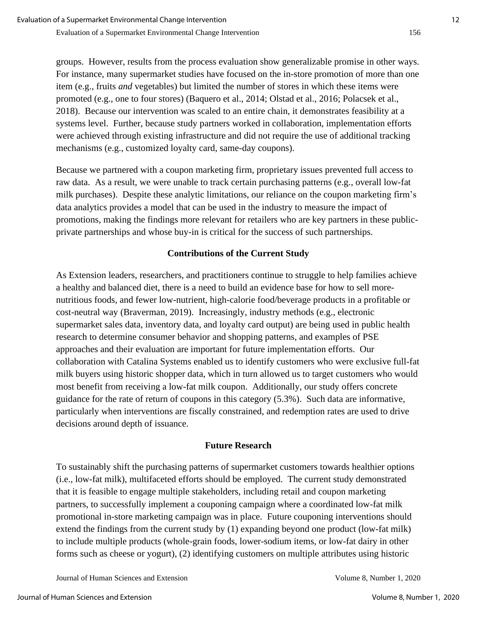groups. However, results from the process evaluation show generalizable promise in other ways. For instance, many supermarket studies have focused on the in-store promotion of more than one item (e.g., fruits *and* vegetables) but limited the number of stores in which these items were promoted (e.g., one to four stores) (Baquero et al., 2014; Olstad et al., 2016; Polacsek et al., 2018). Because our intervention was scaled to an entire chain, it demonstrates feasibility at a systems level. Further, because study partners worked in collaboration, implementation efforts were achieved through existing infrastructure and did not require the use of additional tracking mechanisms (e.g., customized loyalty card, same-day coupons).

Because we partnered with a coupon marketing firm, proprietary issues prevented full access to raw data. As a result, we were unable to track certain purchasing patterns (e.g., overall low-fat milk purchases). Despite these analytic limitations, our reliance on the coupon marketing firm's data analytics provides a model that can be used in the industry to measure the impact of promotions, making the findings more relevant for retailers who are key partners in these publicprivate partnerships and whose buy-in is critical for the success of such partnerships.

# **Contributions of the Current Study**

As Extension leaders, researchers, and practitioners continue to struggle to help families achieve a healthy and balanced diet, there is a need to build an evidence base for how to sell morenutritious foods, and fewer low-nutrient, high-calorie food/beverage products in a profitable or cost-neutral way (Braverman, 2019). Increasingly, industry methods (e.g., electronic supermarket sales data, inventory data, and loyalty card output) are being used in public health research to determine consumer behavior and shopping patterns, and examples of PSE approaches and their evaluation are important for future implementation efforts. Our collaboration with Catalina Systems enabled us to identify customers who were exclusive full-fat milk buyers using historic shopper data, which in turn allowed us to target customers who would most benefit from receiving a low-fat milk coupon. Additionally, our study offers concrete guidance for the rate of return of coupons in this category (5.3%). Such data are informative, particularly when interventions are fiscally constrained, and redemption rates are used to drive decisions around depth of issuance.

## **Future Research**

To sustainably shift the purchasing patterns of supermarket customers towards healthier options (i.e., low-fat milk), multifaceted efforts should be employed. The current study demonstrated that it is feasible to engage multiple stakeholders, including retail and coupon marketing partners, to successfully implement a couponing campaign where a coordinated low-fat milk promotional in-store marketing campaign was in place. Future couponing interventions should extend the findings from the current study by (1) expanding beyond one product (low-fat milk) to include multiple products (whole-grain foods, lower-sodium items, or low-fat dairy in other forms such as cheese or yogurt), (2) identifying customers on multiple attributes using historic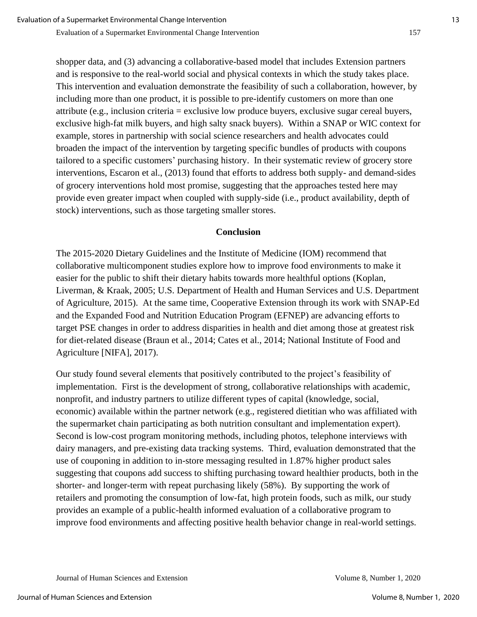shopper data, and (3) advancing a collaborative-based model that includes Extension partners and is responsive to the real-world social and physical contexts in which the study takes place. This intervention and evaluation demonstrate the feasibility of such a collaboration, however, by including more than one product, it is possible to pre-identify customers on more than one attribute (e.g., inclusion criteria = exclusive low produce buyers, exclusive sugar cereal buyers, exclusive high-fat milk buyers, and high salty snack buyers). Within a SNAP or WIC context for example, stores in partnership with social science researchers and health advocates could broaden the impact of the intervention by targeting specific bundles of products with coupons tailored to a specific customers' purchasing history. In their systematic review of grocery store interventions, Escaron et al., (2013) found that efforts to address both supply- and demand-sides of grocery interventions hold most promise, suggesting that the approaches tested here may provide even greater impact when coupled with supply-side (i.e., product availability, depth of stock) interventions, such as those targeting smaller stores.

#### **Conclusion**

The 2015-2020 Dietary Guidelines and the Institute of Medicine (IOM) recommend that collaborative multicomponent studies explore how to improve food environments to make it easier for the public to shift their dietary habits towards more healthful options (Koplan, Liverman, & Kraak, 2005; U.S. Department of Health and Human Services and U.S. Department of Agriculture, 2015). At the same time, Cooperative Extension through its work with SNAP-Ed and the Expanded Food and Nutrition Education Program (EFNEP) are advancing efforts to target PSE changes in order to address disparities in health and diet among those at greatest risk for diet-related disease (Braun et al., 2014; Cates et al., 2014; National Institute of Food and Agriculture [NIFA], 2017).

Our study found several elements that positively contributed to the project's feasibility of implementation. First is the development of strong, collaborative relationships with academic, nonprofit, and industry partners to utilize different types of capital (knowledge, social, economic) available within the partner network (e.g., registered dietitian who was affiliated with the supermarket chain participating as both nutrition consultant and implementation expert). Second is low-cost program monitoring methods, including photos, telephone interviews with dairy managers, and pre-existing data tracking systems. Third, evaluation demonstrated that the use of couponing in addition to in-store messaging resulted in 1.87% higher product sales suggesting that coupons add success to shifting purchasing toward healthier products, both in the shorter- and longer-term with repeat purchasing likely (58%). By supporting the work of retailers and promoting the consumption of low-fat, high protein foods, such as milk, our study provides an example of a public-health informed evaluation of a collaborative program to improve food environments and affecting positive health behavior change in real-world settings.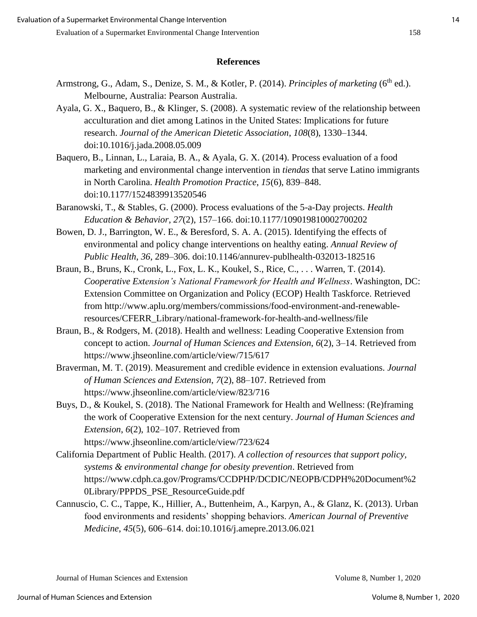#### **References**

- Armstrong, G., Adam, S., Denize, S. M., & Kotler, P. (2014). *Principles of marketing* (6<sup>th</sup> ed.). Melbourne, Australia: Pearson Australia.
- Ayala, G. X., Baquero, B., & Klinger, S. (2008). A systematic review of the relationship between acculturation and diet among Latinos in the United States: Implications for future research. *Journal of the American Dietetic Association*, *108*(8), 1330–1344. doi:10.1016/j.jada.2008.05.009
- Baquero, B., Linnan, L., Laraia, B. A., & Ayala, G. X. (2014). Process evaluation of a food marketing and environmental change intervention in *tiendas* that serve Latino immigrants in North Carolina. *Health Promotion Practice*, *15*(6), 839–848. doi:10.1177/1524839913520546
- Baranowski, T., & Stables, G. (2000). Process evaluations of the 5-a-Day projects. *Health Education & Behavior*, *27*(2), 157–166. doi:10.1177/109019810002700202
- Bowen, D. J., Barrington, W. E., & Beresford, S. A. A. (2015). Identifying the effects of environmental and policy change interventions on healthy eating. *Annual Review of Public Health*, *36*, 289–306. doi:10.1146/annurev-publhealth-032013-182516
- Braun, B., Bruns, K., Cronk, L., Fox, L. K., Koukel, S., Rice, C., . . . Warren, T. (2014). *Cooperative Extension's National Framework for Health and Wellness*. Washington, DC: Extension Committee on Organization and Policy (ECOP) Health Taskforce. Retrieved from http://www.aplu.org/members/commissions/food-environment-and-renewableresources/CFERR\_Library/national-framework-for-health-and-wellness/file
- Braun, B., & Rodgers, M. (2018). Health and wellness: Leading Cooperative Extension from concept to action. *Journal of Human Sciences and Extension*, *6*(2), 3–14. Retrieved from https://www.jhseonline.com/article/view/715/617
- Braverman, M. T. (2019). Measurement and credible evidence in extension evaluations. *Journal of Human Sciences and Extension*, *7*(2), 88–107. Retrieved from https://www.jhseonline.com/article/view/823/716
- Buys, D., & Koukel, S. (2018). The National Framework for Health and Wellness: (Re)framing the work of Cooperative Extension for the next century. *Journal of Human Sciences and Extension*, *6*(2), 102–107. Retrieved from https://www.jhseonline.com/article/view/723/624
- California Department of Public Health. (2017). *A collection of resources that support policy, systems & environmental change for obesity prevention*. Retrieved from https://www.cdph.ca.gov/Programs/CCDPHP/DCDIC/NEOPB/CDPH%20Document%2 0Library/PPPDS\_PSE\_ResourceGuide.pdf
- Cannuscio, C. C., Tappe, K., Hillier, A., Buttenheim, A., Karpyn, A., & Glanz, K. (2013). Urban food environments and residents' shopping behaviors. *American Journal of Preventive Medicine*, *45*(5), 606–614. doi:10.1016/j.amepre.2013.06.021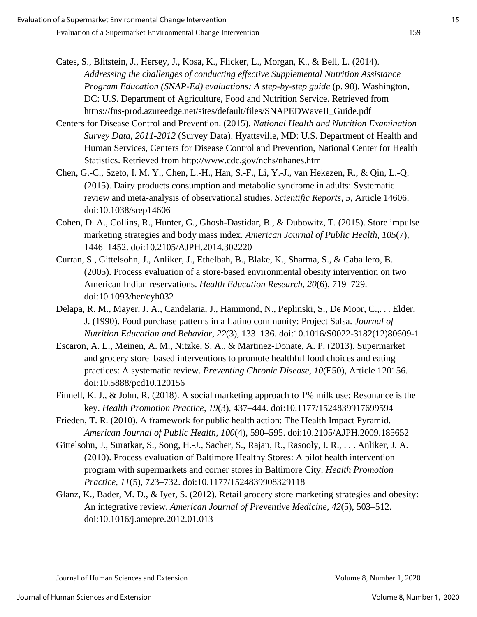- Cates, S., Blitstein, J., Hersey, J., Kosa, K., Flicker, L., Morgan, K., & Bell, L. (2014). *Addressing the challenges of conducting effective Supplemental Nutrition Assistance Program Education (SNAP-Ed) evaluations: A step-by-step guide* (p. 98). Washington, DC: U.S. Department of Agriculture, Food and Nutrition Service. Retrieved from https://fns-prod.azureedge.net/sites/default/files/SNAPEDWaveII\_Guide.pdf
- Centers for Disease Control and Prevention. (2015). *National Health and Nutrition Examination Survey Data, 2011-2012* (Survey Data). Hyattsville, MD: U.S. Department of Health and Human Services, Centers for Disease Control and Prevention, National Center for Health Statistics. Retrieved from http://www.cdc.gov/nchs/nhanes.htm
- Chen, G.-C., Szeto, I. M. Y., Chen, L.-H., Han, S.-F., Li, Y.-J., van Hekezen, R., & Qin, L.-Q. (2015). Dairy products consumption and metabolic syndrome in adults: Systematic review and meta-analysis of observational studies. *Scientific Reports*, *5,* Article 14606. doi:10.1038/srep14606
- Cohen, D. A., Collins, R., Hunter, G., Ghosh-Dastidar, B., & Dubowitz, T. (2015). Store impulse marketing strategies and body mass index. *American Journal of Public Health*, *105*(7), 1446–1452. doi:10.2105/AJPH.2014.302220
- Curran, S., Gittelsohn, J., Anliker, J., Ethelbah, B., Blake, K., Sharma, S., & Caballero, B. (2005). Process evaluation of a store-based environmental obesity intervention on two American Indian reservations. *Health Education Research*, *20*(6), 719–729. doi:10.1093/her/cyh032
- Delapa, R. M., Mayer, J. A., Candelaria, J., Hammond, N., Peplinski, S., De Moor, C.,. . . Elder, J. (1990). Food purchase patterns in a Latino community: Project Salsa. *Journal of Nutrition Education and Behavior*, *22*(3), 133–136. doi:10.1016/S0022-3182(12)80609-1
- Escaron, A. L., Meinen, A. M., Nitzke, S. A., & Martinez-Donate, A. P. (2013). Supermarket and grocery store–based interventions to promote healthful food choices and eating practices: A systematic review. *Preventing Chronic Disease*, *10*(E50), Article 120156. doi:10.5888/pcd10.120156
- Finnell, K. J., & John, R. (2018). A social marketing approach to 1% milk use: Resonance is the key. *Health Promotion Practice*, *19*(3), 437–444. doi:10.1177/1524839917699594
- Frieden, T. R. (2010). A framework for public health action: The Health Impact Pyramid. *American Journal of Public Health*, *100*(4), 590–595. doi:10.2105/AJPH.2009.185652
- Gittelsohn, J., Suratkar, S., Song, H.-J., Sacher, S., Rajan, R., Rasooly, I. R., . . . Anliker, J. A. (2010). Process evaluation of Baltimore Healthy Stores: A pilot health intervention program with supermarkets and corner stores in Baltimore City. *Health Promotion Practice*, *11*(5), 723–732. doi:10.1177/1524839908329118
- Glanz, K., Bader, M. D., & Iyer, S. (2012). Retail grocery store marketing strategies and obesity: An integrative review. *American Journal of Preventive Medicine*, *42*(5), 503–512. doi:10.1016/j.amepre.2012.01.013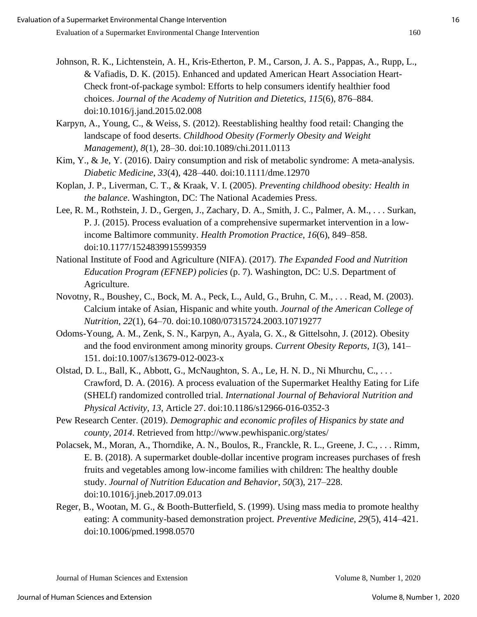- Johnson, R. K., Lichtenstein, A. H., Kris-Etherton, P. M., Carson, J. A. S., Pappas, A., Rupp, L., & Vafiadis, D. K. (2015). Enhanced and updated American Heart Association Heart-Check front-of-package symbol: Efforts to help consumers identify healthier food choices. *Journal of the Academy of Nutrition and Dietetics*, *115*(6), 876–884. doi:10.1016/j.jand.2015.02.008
- Karpyn, A., Young, C., & Weiss, S. (2012). Reestablishing healthy food retail: Changing the landscape of food deserts. *Childhood Obesity (Formerly Obesity and Weight Management)*, *8*(1), 28–30. doi:10.1089/chi.2011.0113
- Kim, Y., & Je, Y. (2016). Dairy consumption and risk of metabolic syndrome: A meta-analysis. *Diabetic Medicine*, *33*(4), 428–440. doi:10.1111/dme.12970
- Koplan, J. P., Liverman, C. T., & Kraak, V. I. (2005). *Preventing childhood obesity: Health in the balance*. Washington, DC: The National Academies Press.
- Lee, R. M., Rothstein, J. D., Gergen, J., Zachary, D. A., Smith, J. C., Palmer, A. M., . . . Surkan, P. J. (2015). Process evaluation of a comprehensive supermarket intervention in a lowincome Baltimore community. *Health Promotion Practice*, *16*(6), 849–858. doi:10.1177/1524839915599359
- National Institute of Food and Agriculture (NIFA). (2017). *The Expanded Food and Nutrition Education Program (EFNEP) policies* (p. 7). Washington, DC: U.S. Department of Agriculture.
- Novotny, R., Boushey, C., Bock, M. A., Peck, L., Auld, G., Bruhn, C. M., . . . Read, M. (2003). Calcium intake of Asian, Hispanic and white youth. *Journal of the American College of Nutrition*, *22*(1), 64–70. doi:10.1080/07315724.2003.10719277
- Odoms-Young, A. M., Zenk, S. N., Karpyn, A., Ayala, G. X., & Gittelsohn, J. (2012). Obesity and the food environment among minority groups. *Current Obesity Reports*, *1*(3), 141– 151. doi:10.1007/s13679-012-0023-x
- Olstad, D. L., Ball, K., Abbott, G., McNaughton, S. A., Le, H. N. D., Ni Mhurchu, C., . . . Crawford, D. A. (2016). A process evaluation of the Supermarket Healthy Eating for Life (SHELf) randomized controlled trial. *International Journal of Behavioral Nutrition and Physical Activity*, *13*, Article 27. doi:10.1186/s12966-016-0352-3
- Pew Research Center. (2019). *Demographic and economic profiles of Hispanics by state and county, 2014*. Retrieved from http://www.pewhispanic.org/states/
- Polacsek, M., Moran, A., Thorndike, A. N., Boulos, R., Franckle, R. L., Greene, J. C., . . . Rimm, E. B. (2018). A supermarket double-dollar incentive program increases purchases of fresh fruits and vegetables among low-income families with children: The healthy double study. *Journal of Nutrition Education and Behavior*, *50*(3), 217–228. doi:10.1016/j.jneb.2017.09.013
- Reger, B., Wootan, M. G., & Booth-Butterfield, S. (1999). Using mass media to promote healthy eating: A community-based demonstration project. *Preventive Medicine*, *29*(5), 414–421. doi:10.1006/pmed.1998.0570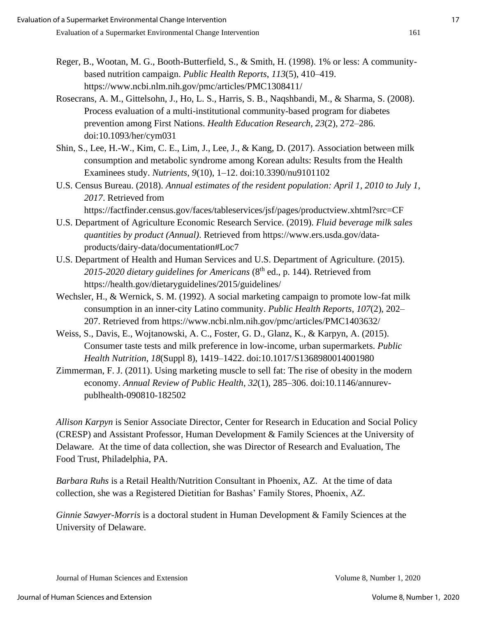- Reger, B., Wootan, M. G., Booth-Butterfield, S., & Smith, H. (1998). 1% or less: A communitybased nutrition campaign. *Public Health Reports*, *113*(5), 410–419. https://www.ncbi.nlm.nih.gov/pmc/articles/PMC1308411/
- Rosecrans, A. M., Gittelsohn, J., Ho, L. S., Harris, S. B., Naqshbandi, M., & Sharma, S. (2008). Process evaluation of a multi-institutional community-based program for diabetes prevention among First Nations. *Health Education Research*, *23*(2), 272–286. doi:10.1093/her/cym031
- Shin, S., Lee, H.-W., Kim, C. E., Lim, J., Lee, J., & Kang, D. (2017). Association between milk consumption and metabolic syndrome among Korean adults: Results from the Health Examinees study. *Nutrients*, *9*(10), 1–12. doi:10.3390/nu9101102
- U.S. Census Bureau. (2018). *Annual estimates of the resident population: April 1, 2010 to July 1, 2017*. Retrieved from

https://factfinder.census.gov/faces/tableservices/jsf/pages/productview.xhtml?src=CF

- U.S. Department of Agriculture Economic Research Service. (2019). *Fluid beverage milk sales quantities by product (Annual)*. Retrieved from https://www.ers.usda.gov/dataproducts/dairy-data/documentation#Loc7
- U.S. Department of Health and Human Services and U.S. Department of Agriculture. (2015). 2015-2020 dietary guidelines for Americans (8<sup>th</sup> ed., p. 144). Retrieved from https://health.gov/dietaryguidelines/2015/guidelines/
- Wechsler, H., & Wernick, S. M. (1992). A social marketing campaign to promote low-fat milk consumption in an inner-city Latino community. *Public Health Reports*, *107*(2), 202– 207. Retrieved from https://www.ncbi.nlm.nih.gov/pmc/articles/PMC1403632/
- Weiss, S., Davis, E., Wojtanowski, A. C., Foster, G. D., Glanz, K., & Karpyn, A. (2015). Consumer taste tests and milk preference in low-income, urban supermarkets. *Public Health Nutrition*, *18*(Suppl 8), 1419–1422. doi:10.1017/S1368980014001980
- Zimmerman, F. J. (2011). Using marketing muscle to sell fat: The rise of obesity in the modern economy. *Annual Review of Public Health*, *32*(1), 285–306. doi:10.1146/annurevpublhealth-090810-182502

*Allison Karpyn* is Senior Associate Director, Center for Research in Education and Social Policy (CRESP) and Assistant Professor, Human Development & Family Sciences at the University of Delaware. At the time of data collection, she was Director of Research and Evaluation, The Food Trust, Philadelphia, PA.

*Barbara Ruhs* is a Retail Health/Nutrition Consultant in Phoenix, AZ. At the time of data collection, she was a Registered Dietitian for Bashas' Family Stores, Phoenix, AZ.

*Ginnie Sawyer-Morris* is a doctoral student in Human Development & Family Sciences at the University of Delaware.